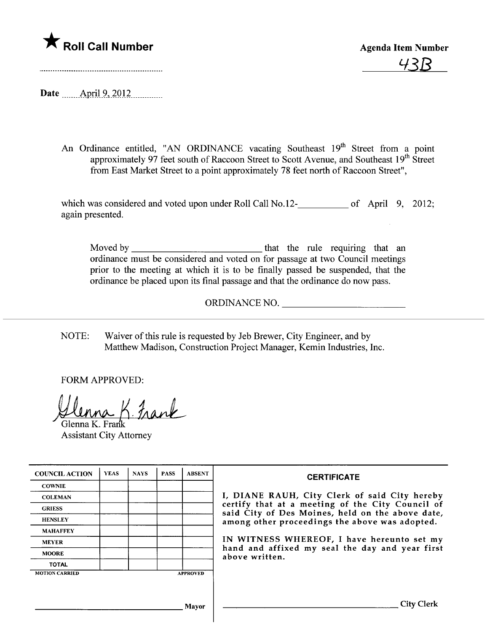

43B

Date ....... -APrl- .2. .?Q.1. ~\_\_\_\_\_\_\_\_\_\_\_

An Ordinance entitled, "AN ORDINANCE vacating Southeast 19<sup>th</sup> Street from a point approximately 97 feet south of Raccoon Street to Scott Avenue, and Southeast 19<sup>th</sup> Street from East Market Street to a point approximately 78 feet north of Raccoon Street",

which was considered and voted upon under Roll Call No.12<sub>16</sub> of April 9, 2012; again presented.

Moved by that the rule requirng that an ordinance must be considered and voted on for passage at two Council meetings prior to the meeting at which it is to be finally passed be suspended, that the ordinance be placed upon its final passage and that the ordinance do now pass.

ORDINANCE NO.

NOTE: Waiver of this rule is requested by Jeb Brewer, City Engineer, and by Matthew Madison, Construction Project Manager, Kemin Industries, Inc.

FORM APPROVED:

 $4.1$ nank

Glenna K. Frank Assistant City Attorney

| <b>COUNCIL ACTION</b> | <b>YEAS</b> | <b>NAYS</b> | <b>PASS</b> | <b>ABSENT</b>   | <b>CERTIFICATE</b>                                                                                                                                                                                                                                                                                                         |
|-----------------------|-------------|-------------|-------------|-----------------|----------------------------------------------------------------------------------------------------------------------------------------------------------------------------------------------------------------------------------------------------------------------------------------------------------------------------|
| <b>COWNIE</b>         |             |             |             |                 | I, DIANE RAUH, City Clerk of said City hereby<br>certify that at a meeting of the City Council of<br>said City of Des Moines, held on the above date,<br>among other proceedings the above was adopted.<br>IN WITNESS WHEREOF, I have hereunto set my<br>hand and affixed my seal the day and year first<br>above written. |
| <b>COLEMAN</b>        |             |             |             |                 |                                                                                                                                                                                                                                                                                                                            |
| <b>GRIESS</b>         |             |             |             |                 |                                                                                                                                                                                                                                                                                                                            |
| <b>HENSLEY</b>        |             |             |             |                 |                                                                                                                                                                                                                                                                                                                            |
| <b>MAHAFFEY</b>       |             |             |             |                 |                                                                                                                                                                                                                                                                                                                            |
| <b>MEYER</b>          |             |             |             |                 |                                                                                                                                                                                                                                                                                                                            |
| <b>MOORE</b>          |             |             |             |                 |                                                                                                                                                                                                                                                                                                                            |
| <b>TOTAL</b>          |             |             |             |                 |                                                                                                                                                                                                                                                                                                                            |
| <b>MOTION CARRIED</b> |             |             |             | <b>APPROVED</b> |                                                                                                                                                                                                                                                                                                                            |
|                       |             |             |             |                 |                                                                                                                                                                                                                                                                                                                            |
| Mayor                 |             |             |             |                 | City                                                                                                                                                                                                                                                                                                                       |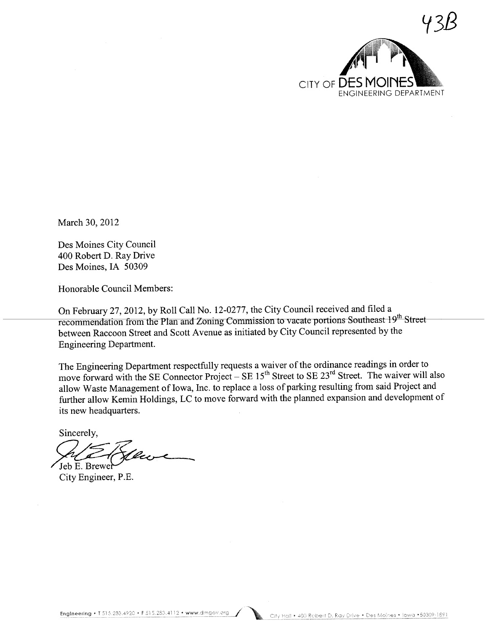

March 30, 2012

Des Moines City Council 400 Robert D. Ray Drive Des Moines, IA 50309

Honorable Council Members:

On February 27,2012, by Roll Call No. 12-0277, the City Council received and filed a recommendation from the Plan and Zoning Commission to vacate portions Southeast  $19<sup>th</sup>$  Street between Raccoon Street and Scott Avenue as initiated by City Council represented by the Engineering Deparment.

The Engineering Department respectfully requests a waiver of the ordinance readings in order to move forward with the SE Connector Project – SE  $15<sup>th</sup>$  Street to SE  $23<sup>rd</sup>$  Street. The waiver will also allow Waste Management of Iowa, Inc. to replace a loss of parking resulting from said Project and furher allow Kemin Holdings, LC to move forward with the planned expansion and development of its new headquarters.

Sincerely,

Sincerely,<br>Jeb E. Brewer<br>City Engineer, P.E.